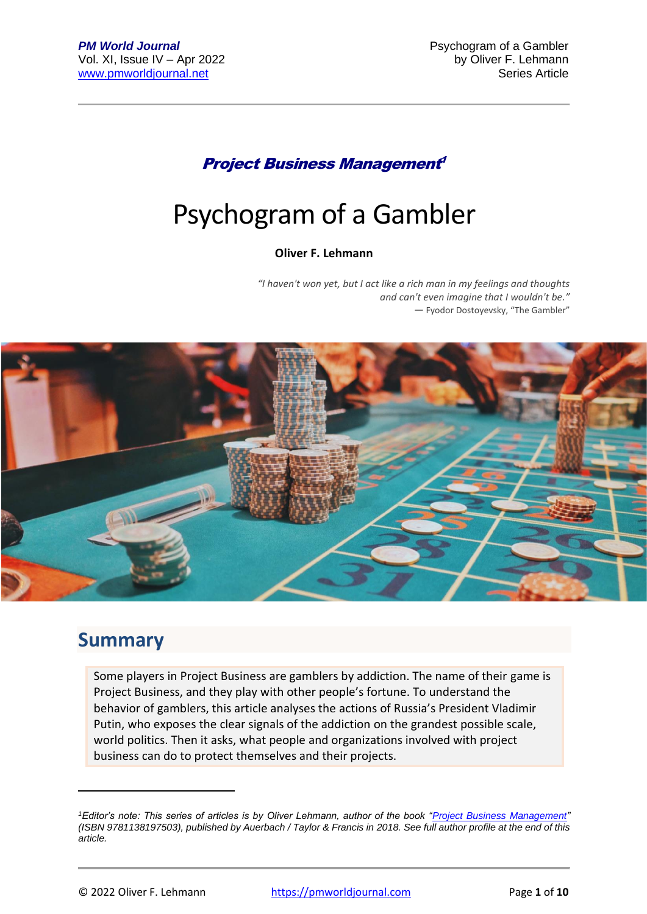### Project Business Management 1

# Psychogram of a Gambler

#### **Oliver F. Lehmann**

*"I haven't won yet, but I act like a rich man in my feelings and thoughts and can't even imagine that I wouldn't be." ―* Fyodor Dostoyevsky, "The Gambler"



### **Summary**

Some players in Project Business are gamblers by addiction. The name of their game is Project Business, and they play with other people's fortune. To understand the behavior of gamblers, this article analyses the actions of Russia's President Vladimir Putin, who exposes the clear signals of the addiction on the grandest possible scale, world politics. Then it asks, what people and organizations involved with project business can do to protect themselves and their projects.

*<sup>1</sup>Editor's note: This series of articles is by Oliver Lehmann, author of the book ["Project Business Management"](https://www.crcpress.com/9781138197503) (ISBN 9781138197503), published by Auerbach / Taylor & Francis in 2018. See full author profile at the end of this article.*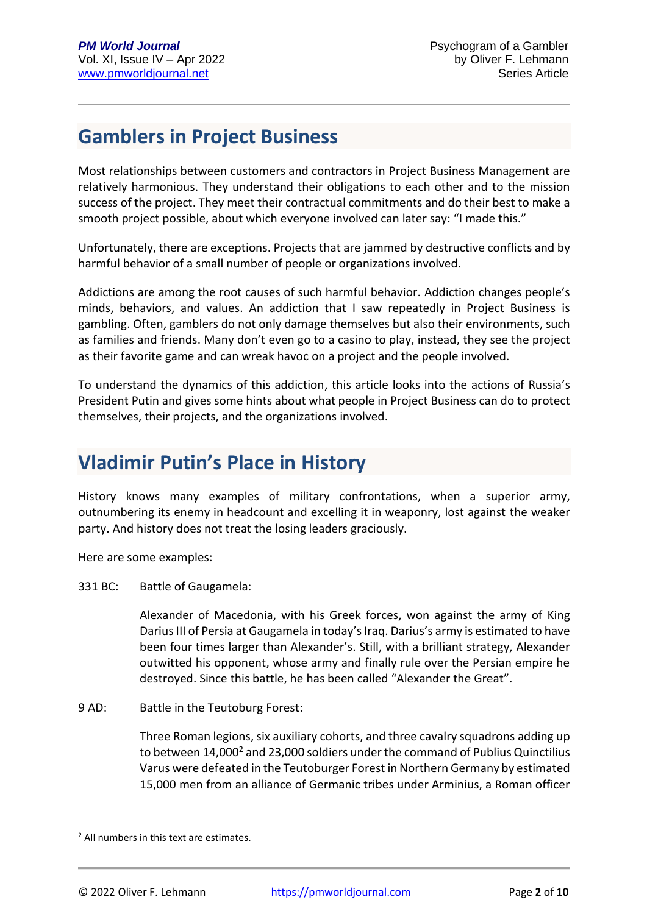# **Gamblers in Project Business**

Most relationships between customers and contractors in Project Business Management are relatively harmonious. They understand their obligations to each other and to the mission success of the project. They meet their contractual commitments and do their best to make a smooth project possible, about which everyone involved can later say: "I made this."

Unfortunately, there are exceptions. Projects that are jammed by destructive conflicts and by harmful behavior of a small number of people or organizations involved.

Addictions are among the root causes of such harmful behavior. Addiction changes people's minds, behaviors, and values. An addiction that I saw repeatedly in Project Business is gambling. Often, gamblers do not only damage themselves but also their environments, such as families and friends. Many don't even go to a casino to play, instead, they see the project as their favorite game and can wreak havoc on a project and the people involved.

To understand the dynamics of this addiction, this article looks into the actions of Russia's President Putin and gives some hints about what people in Project Business can do to protect themselves, their projects, and the organizations involved.

# **Vladimir Putin's Place in History**

History knows many examples of military confrontations, when a superior army, outnumbering its enemy in headcount and excelling it in weaponry, lost against the weaker party. And history does not treat the losing leaders graciously.

Here are some examples:

331 BC: Battle of Gaugamela:

Alexander of Macedonia, with his Greek forces, won against the army of King Darius III of Persia at Gaugamela in today's Iraq. Darius's army is estimated to have been four times larger than Alexander's. Still, with a brilliant strategy, Alexander outwitted his opponent, whose army and finally rule over the Persian empire he destroyed. Since this battle, he has been called "Alexander the Great".

9 AD: Battle in the Teutoburg Forest:

Three Roman legions, six auxiliary cohorts, and three cavalry squadrons adding up to between 14,000<sup>2</sup> and 23,000 soldiers under the command of Publius Quinctilius Varus were defeated in the Teutoburger Forest in Northern Germany by estimated 15,000 men from an alliance of Germanic tribes under Arminius, a Roman officer

<sup>2</sup> All numbers in this text are estimates.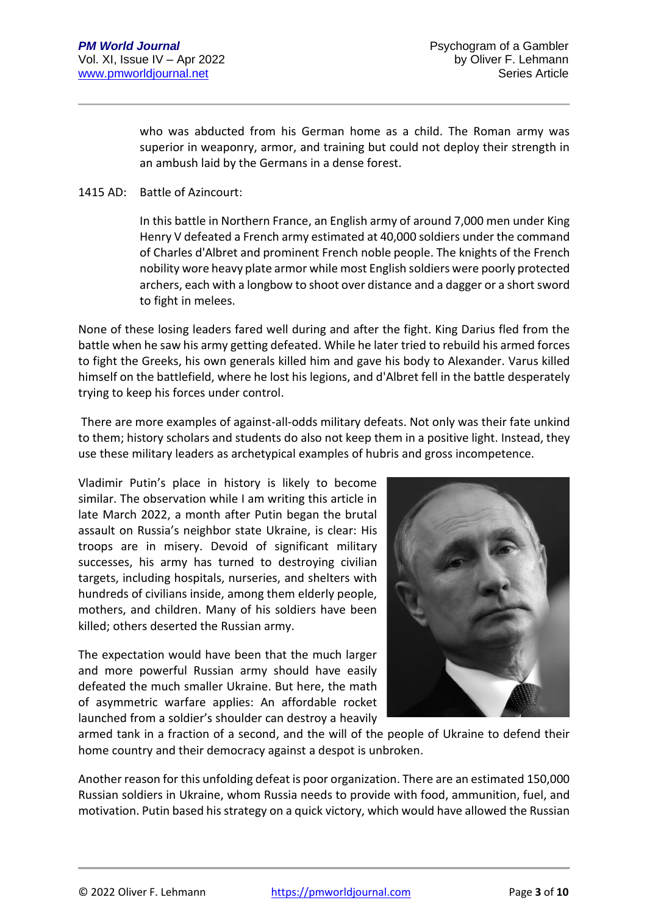who was abducted from his German home as a child. The Roman army was superior in weaponry, armor, and training but could not deploy their strength in an ambush laid by the Germans in a dense forest.

#### 1415 AD: Battle of Azincourt:

In this battle in Northern France, an English army of around 7,000 men under King Henry V defeated a French army estimated at 40,000 soldiers under the command of Charles d'Albret and prominent French noble people. The knights of the French nobility wore heavy plate armor while most English soldiers were poorly protected archers, each with a longbow to shoot over distance and a dagger or a short sword to fight in melees.

None of these losing leaders fared well during and after the fight. King Darius fled from the battle when he saw his army getting defeated. While he later tried to rebuild his armed forces to fight the Greeks, his own generals killed him and gave his body to Alexander. Varus killed himself on the battlefield, where he lost his legions, and d'Albret fell in the battle desperately trying to keep his forces under control.

There are more examples of against-all-odds military defeats. Not only was their fate unkind to them; history scholars and students do also not keep them in a positive light. Instead, they use these military leaders as archetypical examples of hubris and gross incompetence.

Vladimir Putin's place in history is likely to become similar. The observation while I am writing this article in late March 2022, a month after Putin began the brutal assault on Russia's neighbor state Ukraine, is clear: His troops are in misery. Devoid of significant military successes, his army has turned to destroying civilian targets, including hospitals, nurseries, and shelters with hundreds of civilians inside, among them elderly people, mothers, and children. Many of his soldiers have been killed; others deserted the Russian army.

The expectation would have been that the much larger and more powerful Russian army should have easily defeated the much smaller Ukraine. But here, the math of asymmetric warfare applies: An affordable rocket launched from a soldier's shoulder can destroy a heavily



armed tank in a fraction of a second, and the will of the people of Ukraine to defend their home country and their democracy against a despot is unbroken.

Another reason for this unfolding defeat is poor organization. There are an estimated 150,000 Russian soldiers in Ukraine, whom Russia needs to provide with food, ammunition, fuel, and motivation. Putin based his strategy on a quick victory, which would have allowed the Russian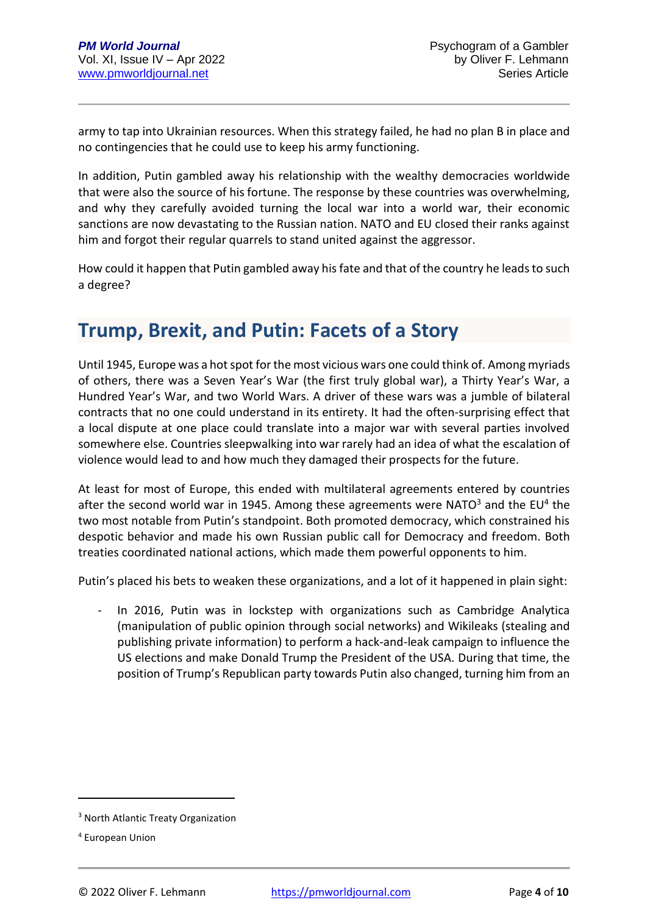army to tap into Ukrainian resources. When this strategy failed, he had no plan B in place and no contingencies that he could use to keep his army functioning.

In addition, Putin gambled away his relationship with the wealthy democracies worldwide that were also the source of his fortune. The response by these countries was overwhelming, and why they carefully avoided turning the local war into a world war, their economic sanctions are now devastating to the Russian nation. NATO and EU closed their ranks against him and forgot their regular quarrels to stand united against the aggressor.

How could it happen that Putin gambled away his fate and that of the country he leads to such a degree?

### **Trump, Brexit, and Putin: Facets of a Story**

Until 1945, Europe was a hot spot for the most vicious wars one could think of. Among myriads of others, there was a Seven Year's War (the first truly global war), a Thirty Year's War, a Hundred Year's War, and two World Wars. A driver of these wars was a jumble of bilateral contracts that no one could understand in its entirety. It had the often-surprising effect that a local dispute at one place could translate into a major war with several parties involved somewhere else. Countries sleepwalking into war rarely had an idea of what the escalation of violence would lead to and how much they damaged their prospects for the future.

At least for most of Europe, this ended with multilateral agreements entered by countries after the second world war in 1945. Among these agreements were NATO $3$  and the EU<sup>4</sup> the two most notable from Putin's standpoint. Both promoted democracy, which constrained his despotic behavior and made his own Russian public call for Democracy and freedom. Both treaties coordinated national actions, which made them powerful opponents to him.

Putin's placed his bets to weaken these organizations, and a lot of it happened in plain sight:

In 2016, Putin was in lockstep with organizations such as Cambridge Analytica (manipulation of public opinion through social networks) and Wikileaks (stealing and publishing private information) to perform a hack-and-leak campaign to influence the US elections and make Donald Trump the President of the USA. During that time, the position of Trump's Republican party towards Putin also changed, turning him from an

<sup>3</sup> North Atlantic Treaty Organization

<sup>4</sup> European Union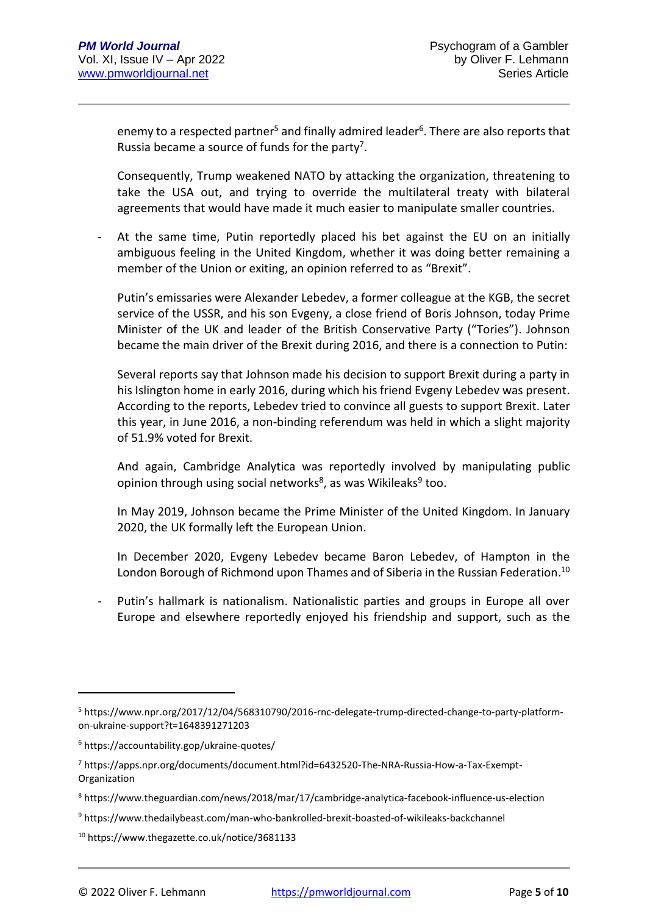enemy to a respected partner<sup>5</sup> and finally admired leader<sup>6</sup>. There are also reports that Russia became a source of funds for the party<sup>7</sup>.

Consequently, Trump weakened NATO by attacking the organization, threatening to take the USA out, and trying to override the multilateral treaty with bilateral agreements that would have made it much easier to manipulate smaller countries.

At the same time, Putin reportedly placed his bet against the EU on an initially ambiguous feeling in the United Kingdom, whether it was doing better remaining a member of the Union or exiting, an opinion referred to as "Brexit".

Putin's emissaries were Alexander Lebedev, a former colleague at the KGB, the secret service of the USSR, and his son Evgeny, a close friend of Boris Johnson, today Prime Minister of the UK and leader of the British Conservative Party ("Tories"). Johnson became the main driver of the Brexit during 2016, and there is a connection to Putin:

Several reports say that Johnson made his decision to support Brexit during a party in his Islington home in early 2016, during which his friend Evgeny Lebedev was present. According to the reports, Lebedev tried to convince all guests to support Brexit. Later this year, in June 2016, a non-binding referendum was held in which a slight majority of 51.9% voted for Brexit.

And again, Cambridge Analytica was reportedly involved by manipulating public opinion through using social networks<sup>8</sup>, as was Wikileaks<sup>9</sup> too.

In May 2019, Johnson became the Prime Minister of the United Kingdom. In January 2020, the UK formally left the European Union.

In December 2020, Evgeny Lebedev became Baron Lebedev, of Hampton in the London Borough of Richmond upon Thames and of Siberia in the Russian Federation.<sup>10</sup>

Putin's hallmark is nationalism. Nationalistic parties and groups in Europe all over Europe and elsewhere reportedly enjoyed his friendship and support, such as the

<sup>5</sup> https://www.npr.org/2017/12/04/568310790/2016-rnc-delegate-trump-directed-change-to-party-platformon-ukraine-support?t=1648391271203

<sup>6</sup> https://accountability.gop/ukraine-quotes/

<sup>7</sup> https://apps.npr.org/documents/document.html?id=6432520-The-NRA-Russia-How-a-Tax-Exempt-Organization

<sup>8</sup> https://www.theguardian.com/news/2018/mar/17/cambridge-analytica-facebook-influence-us-election

<sup>9</sup> https://www.thedailybeast.com/man-who-bankrolled-brexit-boasted-of-wikileaks-backchannel

<sup>10</sup> https://www.thegazette.co.uk/notice/3681133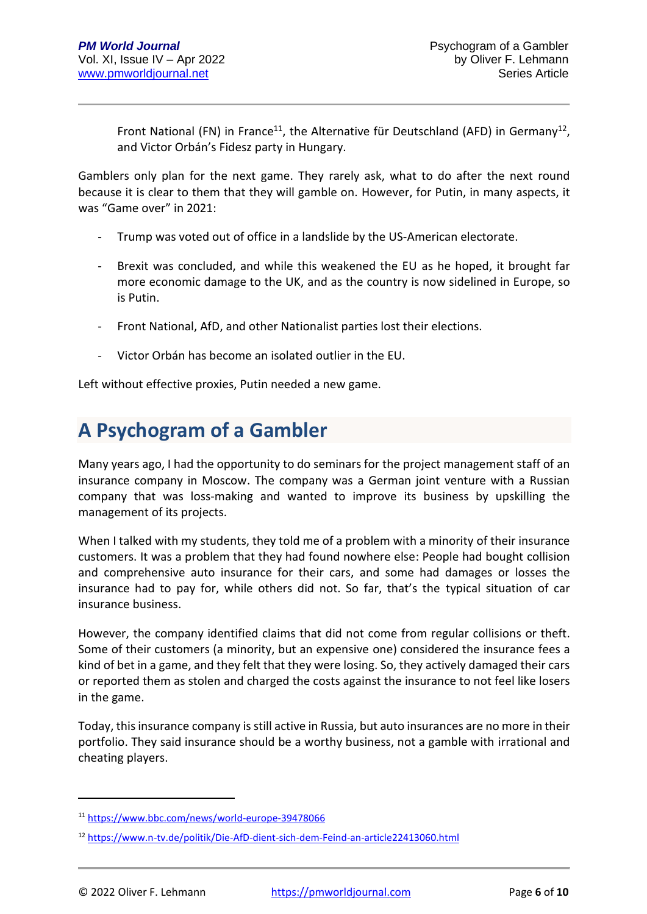Front National (FN) in France<sup>11</sup>, the Alternative für Deutschland (AFD) in Germany<sup>12</sup>, and Victor Orbán's Fidesz party in Hungary.

Gamblers only plan for the next game. They rarely ask, what to do after the next round because it is clear to them that they will gamble on. However, for Putin, in many aspects, it was "Game over" in 2021:

- Trump was voted out of office in a landslide by the US-American electorate.
- Brexit was concluded, and while this weakened the EU as he hoped, it brought far more economic damage to the UK, and as the country is now sidelined in Europe, so is Putin.
- Front National, AfD, and other Nationalist parties lost their elections.
- Victor Orbán has become an isolated outlier in the EU.

Left without effective proxies, Putin needed a new game.

# **A Psychogram of a Gambler**

Many years ago, I had the opportunity to do seminars for the project management staff of an insurance company in Moscow. The company was a German joint venture with a Russian company that was loss-making and wanted to improve its business by upskilling the management of its projects.

When I talked with my students, they told me of a problem with a minority of their insurance customers. It was a problem that they had found nowhere else: People had bought collision and comprehensive auto insurance for their cars, and some had damages or losses the insurance had to pay for, while others did not. So far, that's the typical situation of car insurance business.

However, the company identified claims that did not come from regular collisions or theft. Some of their customers (a minority, but an expensive one) considered the insurance fees a kind of bet in a game, and they felt that they were losing. So, they actively damaged their cars or reported them as stolen and charged the costs against the insurance to not feel like losers in the game.

Today, this insurance company is still active in Russia, but auto insurances are no more in their portfolio. They said insurance should be a worthy business, not a gamble with irrational and cheating players.

<sup>11</sup> <https://www.bbc.com/news/world-europe-39478066>

<sup>12</sup> <https://www.n-tv.de/politik/Die-AfD-dient-sich-dem-Feind-an-article22413060.html>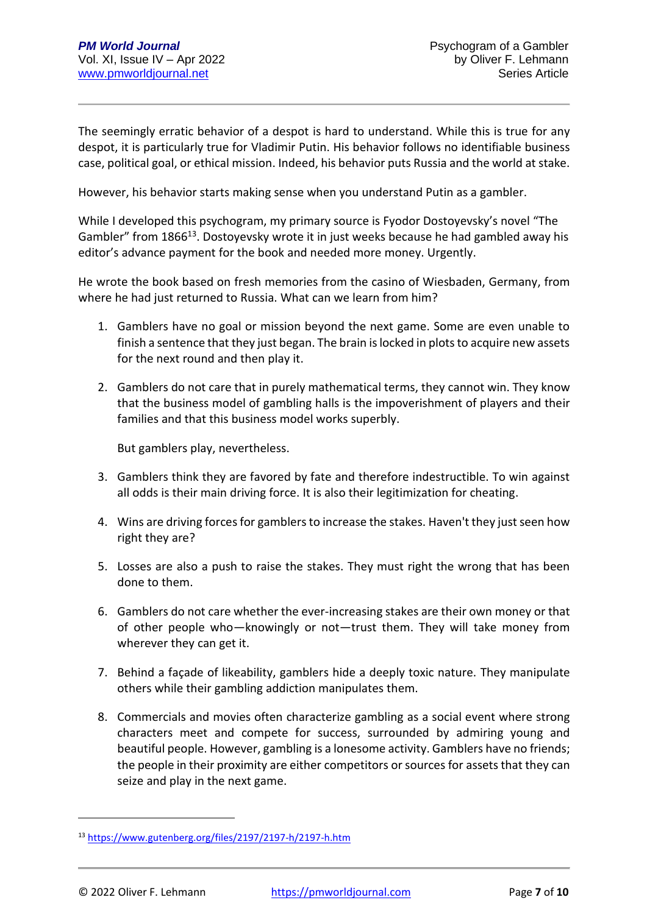The seemingly erratic behavior of a despot is hard to understand. While this is true for any despot, it is particularly true for Vladimir Putin. His behavior follows no identifiable business case, political goal, or ethical mission. Indeed, his behavior puts Russia and the world at stake.

However, his behavior starts making sense when you understand Putin as a gambler.

While I developed this psychogram, my primary source is Fyodor Dostoyevsky's novel "The Gambler" from 1866<sup>13</sup>. Dostoyevsky wrote it in just weeks because he had gambled away his editor's advance payment for the book and needed more money. Urgently.

He wrote the book based on fresh memories from the casino of Wiesbaden, Germany, from where he had just returned to Russia. What can we learn from him?

- 1. Gamblers have no goal or mission beyond the next game. Some are even unable to finish a sentence that they just began. The brain is locked in plots to acquire new assets for the next round and then play it.
- 2. Gamblers do not care that in purely mathematical terms, they cannot win. They know that the business model of gambling halls is the impoverishment of players and their families and that this business model works superbly.

But gamblers play, nevertheless.

- 3. Gamblers think they are favored by fate and therefore indestructible. To win against all odds is their main driving force. It is also their legitimization for cheating.
- 4. Wins are driving forces for gamblers to increase the stakes. Haven't they just seen how right they are?
- 5. Losses are also a push to raise the stakes. They must right the wrong that has been done to them.
- 6. Gamblers do not care whether the ever-increasing stakes are their own money or that of other people who—knowingly or not—trust them. They will take money from wherever they can get it.
- 7. Behind a façade of likeability, gamblers hide a deeply toxic nature. They manipulate others while their gambling addiction manipulates them.
- 8. Commercials and movies often characterize gambling as a social event where strong characters meet and compete for success, surrounded by admiring young and beautiful people. However, gambling is a lonesome activity. Gamblers have no friends; the people in their proximity are either competitors or sources for assets that they can seize and play in the next game.

<sup>13</sup> <https://www.gutenberg.org/files/2197/2197-h/2197-h.htm>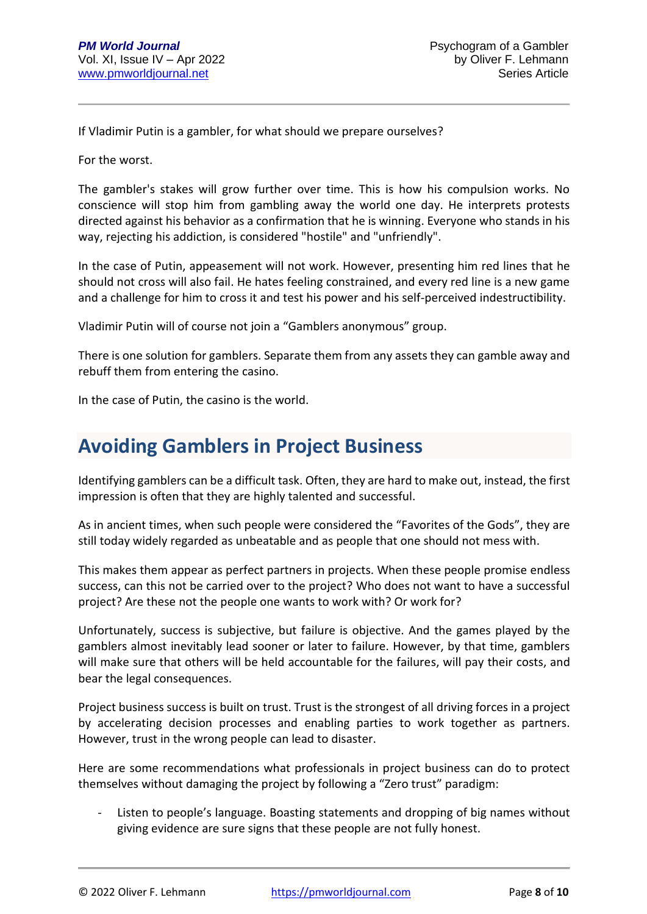If Vladimir Putin is a gambler, for what should we prepare ourselves?

For the worst.

The gambler's stakes will grow further over time. This is how his compulsion works. No conscience will stop him from gambling away the world one day. He interprets protests directed against his behavior as a confirmation that he is winning. Everyone who stands in his way, rejecting his addiction, is considered "hostile" and "unfriendly".

In the case of Putin, appeasement will not work. However, presenting him red lines that he should not cross will also fail. He hates feeling constrained, and every red line is a new game and a challenge for him to cross it and test his power and his self-perceived indestructibility.

Vladimir Putin will of course not join a "Gamblers anonymous" group.

There is one solution for gamblers. Separate them from any assets they can gamble away and rebuff them from entering the casino.

In the case of Putin, the casino is the world.

### **Avoiding Gamblers in Project Business**

Identifying gamblers can be a difficult task. Often, they are hard to make out, instead, the first impression is often that they are highly talented and successful.

As in ancient times, when such people were considered the "Favorites of the Gods", they are still today widely regarded as unbeatable and as people that one should not mess with.

This makes them appear as perfect partners in projects. When these people promise endless success, can this not be carried over to the project? Who does not want to have a successful project? Are these not the people one wants to work with? Or work for?

Unfortunately, success is subjective, but failure is objective. And the games played by the gamblers almost inevitably lead sooner or later to failure. However, by that time, gamblers will make sure that others will be held accountable for the failures, will pay their costs, and bear the legal consequences.

Project business success is built on trust. Trust is the strongest of all driving forces in a project by accelerating decision processes and enabling parties to work together as partners. However, trust in the wrong people can lead to disaster.

Here are some recommendations what professionals in project business can do to protect themselves without damaging the project by following a "Zero trust" paradigm:

Listen to people's language. Boasting statements and dropping of big names without giving evidence are sure signs that these people are not fully honest.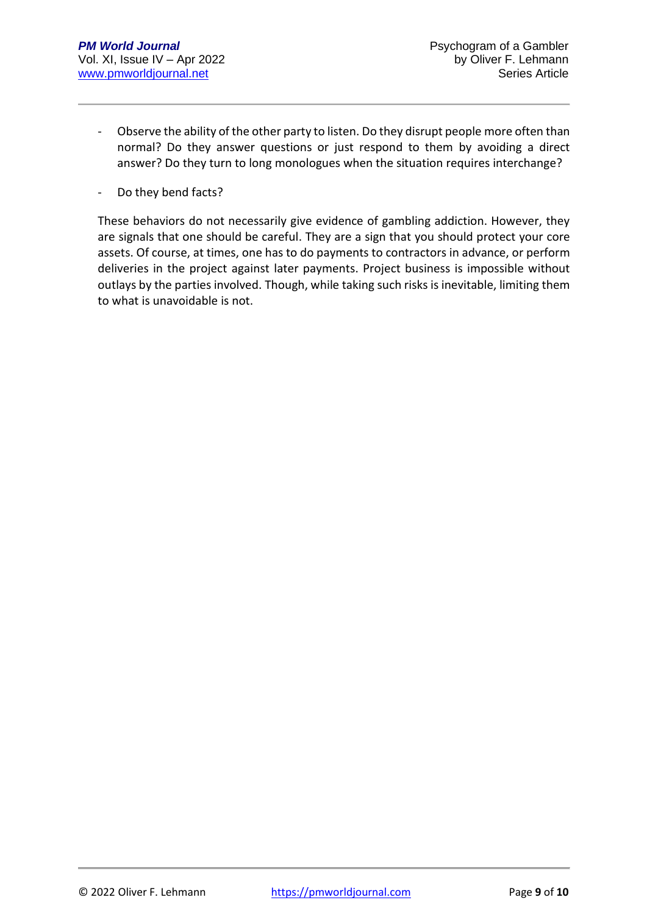- Observe the ability of the other party to listen. Do they disrupt people more often than normal? Do they answer questions or just respond to them by avoiding a direct answer? Do they turn to long monologues when the situation requires interchange?
- Do they bend facts?

These behaviors do not necessarily give evidence of gambling addiction. However, they are signals that one should be careful. They are a sign that you should protect your core assets. Of course, at times, one has to do payments to contractors in advance, or perform deliveries in the project against later payments. Project business is impossible without outlays by the parties involved. Though, while taking such risks is inevitable, limiting them to what is unavoidable is not.